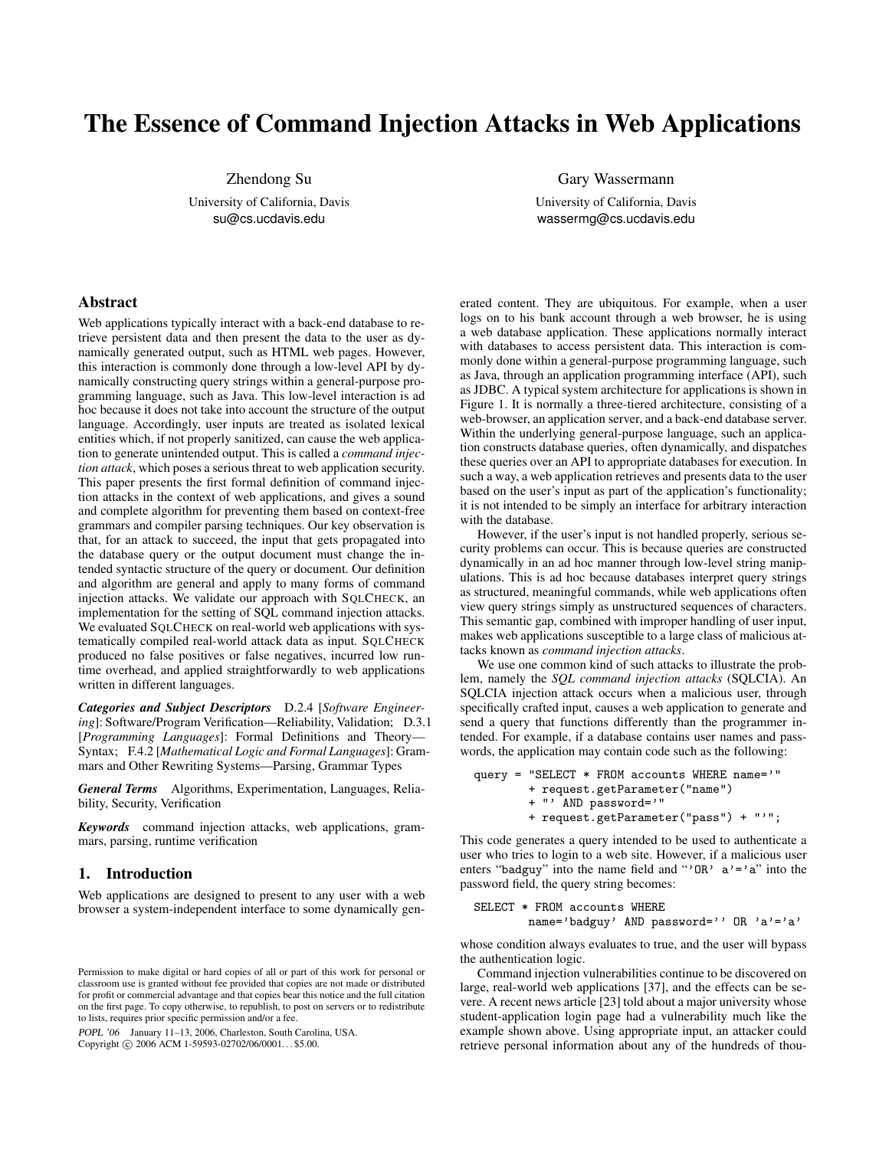# **The Essence of Command Injection Attacks in Web Applications**

Zhendong Su University of California, Davis su@cs.ucdavis.edu

# **Abstract**

Web applications typically interact with a back-end database to retrieve persistent data and then present the data to the user as dynamically generated output, such as HTML web pages. However, this interaction is commonly done through a low-level API by dynamically constructing query strings within a general-purpose programming language, such as Java. This low-level interaction is ad hoc because it does not take into account the structure of the output language. Accordingly, user inputs are treated as isolated lexical entities which, if not properly sanitized, can cause the web application to generate unintended output. This is called a *command injection attack*, which poses a serious threat to web application security. This paper presents the first formal definition of command injection attacks in the context of web applications, and gives a sound and complete algorithm for preventing them based on context-free grammars and compiler parsing techniques. Our key observation is that, for an attack to succeed, the input that gets propagated into the database query or the output document must change the intended syntactic structure of the query or document. Our definition and algorithm are general and apply to many forms of command injection attacks. We validate our approach with SQLCHECK, an implementation for the setting of SQL command injection attacks. We evaluated SQLCHECK on real-world web applications with systematically compiled real-world attack data as input. SQLCHECK produced no false positives or false negatives, incurred low runtime overhead, and applied straightforwardly to web applications written in different languages.

*Categories and Subject Descriptors* D.2.4 [*Software Engineering*]: Software/Program Verification—Reliability, Validation; D.3.1 [*Programming Languages*]: Formal Definitions and Theory— Syntax; F.4.2 [*Mathematical Logic and Formal Languages*]: Grammars and Other Rewriting Systems—Parsing, Grammar Types

*General Terms* Algorithms, Experimentation, Languages, Reliability, Security, Verification

*Keywords* command injection attacks, web applications, grammars, parsing, runtime verification

# **1. Introduction**

Web applications are designed to present to any user with a web browser a system-independent interface to some dynamically gen-

POPL '06 January 11–13, 2006, Charleston, South Carolina, USA. Copyright © 2006 ACM 1-59593-02702/06/0001... \$5.00.

Gary Wassermann University of California, Davis wassermg@cs.ucdavis.edu

erated content. They are ubiquitous. For example, when a user logs on to his bank account through a web browser, he is using a web database application. These applications normally interact with databases to access persistent data. This interaction is commonly done within a general-purpose programming language, such as Java, through an application programming interface (API), such as JDBC. A typical system architecture for applications is shown in Figure 1. It is normally a three-tiered architecture, consisting of a web-browser, an application server, and a back-end database server. Within the underlying general-purpose language, such an application constructs database queries, often dynamically, and dispatches these queries over an API to appropriate databases for execution. In such a way, a web application retrieves and presents data to the user based on the user's input as part of the application's functionality; it is not intended to be simply an interface for arbitrary interaction with the database.

However, if the user's input is not handled properly, serious security problems can occur. This is because queries are constructed dynamically in an ad hoc manner through low-level string manipulations. This is ad hoc because databases interpret query strings as structured, meaningful commands, while web applications often view query strings simply as unstructured sequences of characters. This semantic gap, combined with improper handling of user input, makes web applications susceptible to a large class of malicious attacks known as *command injection attacks*.

We use one common kind of such attacks to illustrate the problem, namely the *SQL command injection attacks* (SQLCIA). An SQLCIA injection attack occurs when a malicious user, through specifically crafted input, causes a web application to generate and send a query that functions differently than the programmer intended. For example, if a database contains user names and passwords, the application may contain code such as the following:

query = "SELECT \* FROM accounts WHERE name='" + request.getParameter("name") + "' AND password='" + request.getParameter("pass") + "'";

This code generates a query intended to be used to authenticate a user who tries to login to a web site. However, if a malicious user enters "badguy" into the name field and "' $OR'$  a'='a" into the password field, the query string becomes:

SELECT \* FROM accounts WHERE name='badguy' AND password='' OR 'a'='a'

whose condition always evaluates to true, and the user will bypass the authentication logic.

Command injection vulnerabilities continue to be discovered on large, real-world web applications [37], and the effects can be severe. A recent news article [23] told about a major university whose student-application login page had a vulnerability much like the example shown above. Using appropriate input, an attacker could retrieve personal information about any of the hundreds of thou-

Permission to make digital or hard copies of all or part of this work for personal or classroom use is granted without fee provided that copies are not made or distributed for profit or commercial advantage and that copies bear this notice and the full citation on the first page. To copy otherwise, to republish, to post on servers or to redistribute to lists, requires prior specific permission and/or a fee.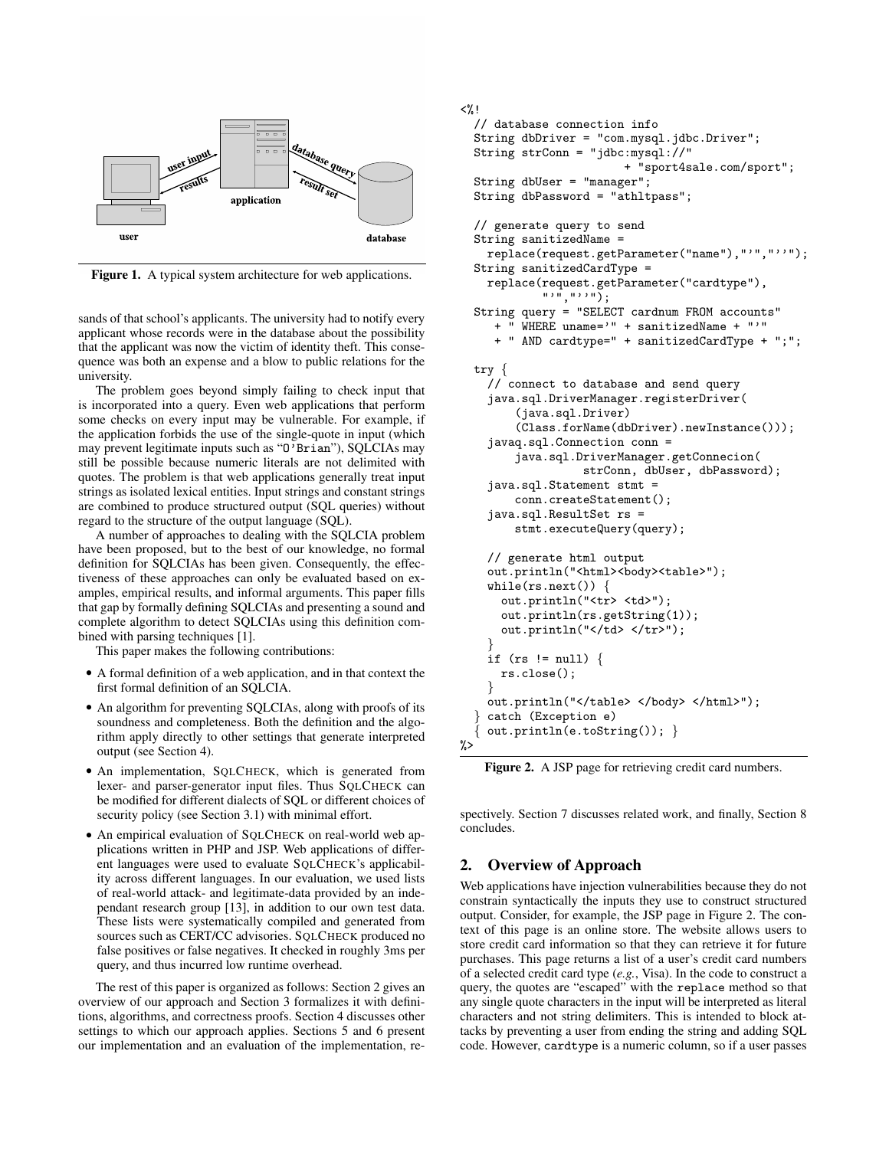

**Figure 1.** A typical system architecture for web applications.

sands of that school's applicants. The university had to notify every applicant whose records were in the database about the possibility that the applicant was now the victim of identity theft. This consequence was both an expense and a blow to public relations for the university.

The problem goes beyond simply failing to check input that is incorporated into a query. Even web applications that perform some checks on every input may be vulnerable. For example, if the application forbids the use of the single-quote in input (which may prevent legitimate inputs such as "0'Brian"), SQLCIAs may still be possible because numeric literals are not delimited with quotes. The problem is that web applications generally treat input strings as isolated lexical entities. Input strings and constant strings are combined to produce structured output (SQL queries) without regard to the structure of the output language (SQL).

A number of approaches to dealing with the SQLCIA problem have been proposed, but to the best of our knowledge, no formal definition for SQLCIAs has been given. Consequently, the effectiveness of these approaches can only be evaluated based on examples, empirical results, and informal arguments. This paper fills that gap by formally defining SQLCIAs and presenting a sound and complete algorithm to detect SQLCIAs using this definition combined with parsing techniques [1].

This paper makes the following contributions:

- A formal definition of a web application, and in that context the first formal definition of an SQLCIA.
- An algorithm for preventing SQLCIAs, along with proofs of its soundness and completeness. Both the definition and the algorithm apply directly to other settings that generate interpreted output (see Section 4).
- An implementation, SQLCHECK, which is generated from lexer- and parser-generator input files. Thus SQLCHECK can be modified for different dialects of SQL or different choices of security policy (see Section 3.1) with minimal effort.
- An empirical evaluation of SQLCHECK on real-world web applications written in PHP and JSP. Web applications of different languages were used to evaluate SQLCHECK's applicability across different languages. In our evaluation, we used lists of real-world attack- and legitimate-data provided by an independant research group [13], in addition to our own test data. These lists were systematically compiled and generated from sources such as CERT/CC advisories. SQLCHECK produced no false positives or false negatives. It checked in roughly 3ms per query, and thus incurred low runtime overhead.

The rest of this paper is organized as follows: Section 2 gives an overview of our approach and Section 3 formalizes it with definitions, algorithms, and correctness proofs. Section 4 discusses other settings to which our approach applies. Sections 5 and 6 present our implementation and an evaluation of the implementation, re-

```
<\!\%!
  // database connection info
  String dbDriver = "com.mysql.jdbc.Driver";
  String strConn = "jdbc:mysql://"
                        + "sport4sale.com/sport";
  String dbUser = "manager";
  String dbPassword = "athltpass";
  // generate query to send
  String sanitizedName =
    replace(request.getParameter("name"),"'","''");
  String sanitizedCardType =
    replace(request.getParameter("cardtype"),
            "'","''");
  String query = "SELECT cardnum FROM accounts"
     + " WHERE uname='" + sanitizedName + "'"
     + " AND cardtype=" + sanitizedCardType + ";";
  try {
    // connect to database and send query
    java.sql.DriverManager.registerDriver(
        (java.sql.Driver)
        (Class.forName(dbDriver).newInstance()));
    javaq.sql.Connection conn =
        java.sql.DriverManager.getConnecion(
                  strConn, dbUser, dbPassword);
    java.sql.Statement stmt =
        conn.createStatement();
    java.sql.ResultSet rs =
        stmt.executeQuery(query);
    // generate html output
    out.println("<html><br/>>body><table>");
    while(rs.next()) {
      out.println("<tr> <td>");
      out.println(rs.getString(1));
      out.println("</td> </tr>");
    }
    if (rs != null) {
      rs.close();
    }
    out.println("</table> </body> </html>");
    catch (Exception e)
    out.println(e.toString()); }
%>
```
**Figure 2.** A JSP page for retrieving credit card numbers.

spectively. Section 7 discusses related work, and finally, Section 8 concludes.

## **2. Overview of Approach**

Web applications have injection vulnerabilities because they do not constrain syntactically the inputs they use to construct structured output. Consider, for example, the JSP page in Figure 2. The context of this page is an online store. The website allows users to store credit card information so that they can retrieve it for future purchases. This page returns a list of a user's credit card numbers of a selected credit card type (*e.g.*, Visa). In the code to construct a query, the quotes are "escaped" with the replace method so that any single quote characters in the input will be interpreted as literal characters and not string delimiters. This is intended to block attacks by preventing a user from ending the string and adding SQL code. However, cardtype is a numeric column, so if a user passes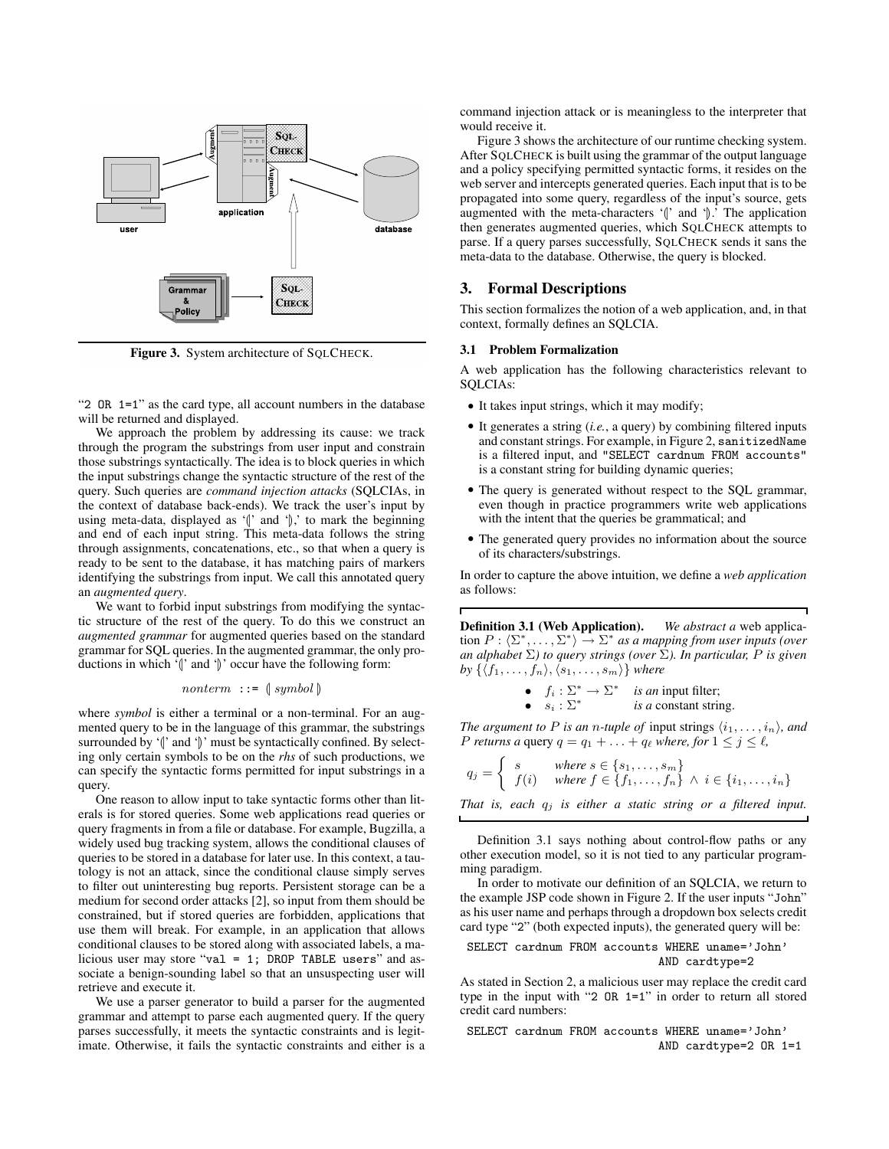

**Figure 3.** System architecture of SQLCHECK.

"2 OR 1=1" as the card type, all account numbers in the database will be returned and displayed.

We approach the problem by addressing its cause: we track through the program the substrings from user input and constrain those substrings syntactically. The idea is to block queries in which the input substrings change the syntactic structure of the rest of the query. Such queries are *command injection attacks* (SQLCIAs, in the context of database back-ends). We track the user's input by using meta-data, displayed as ' $\langle$ ' and ' $\rangle$ ,' to mark the beginning and end of each input string. This meta-data follows the string through assignments, concatenations, etc., so that when a query is ready to be sent to the database, it has matching pairs of markers identifying the substrings from input. We call this annotated query an *augmented query*.

We want to forbid input substrings from modifying the syntactic structure of the rest of the query. To do this we construct an *augmented grammar* for augmented queries based on the standard grammar for SQL queries. In the augmented grammar, the only productions in which ' $\parallel$ ' and ' $\parallel$ ' occur have the following form:

$$
nonterm \ :: = \ (\text{symbol})
$$

where *symbol* is either a terminal or a non-terminal. For an augmented query to be in the language of this grammar, the substrings surrounded by ' $\parallel$ ' and ' $\parallel$ ' must be syntactically confined. By selecting only certain symbols to be on the *rhs* of such productions, we can specify the syntactic forms permitted for input substrings in a query.

One reason to allow input to take syntactic forms other than literals is for stored queries. Some web applications read queries or query fragments in from a file or database. For example, Bugzilla, a widely used bug tracking system, allows the conditional clauses of queries to be stored in a database for later use. In this context, a tautology is not an attack, since the conditional clause simply serves to filter out uninteresting bug reports. Persistent storage can be a medium for second order attacks [2], so input from them should be constrained, but if stored queries are forbidden, applications that use them will break. For example, in an application that allows conditional clauses to be stored along with associated labels, a malicious user may store "val = 1; DROP TABLE users" and associate a benign-sounding label so that an unsuspecting user will retrieve and execute it.

We use a parser generator to build a parser for the augmented grammar and attempt to parse each augmented query. If the query parses successfully, it meets the syntactic constraints and is legitimate. Otherwise, it fails the syntactic constraints and either is a command injection attack or is meaningless to the interpreter that would receive it.

Figure 3 shows the architecture of our runtime checking system. After SQLCHECK is built using the grammar of the output language and a policy specifying permitted syntactic forms, it resides on the web server and intercepts generated queries. Each input that is to be propagated into some query, regardless of the input's source, gets augmented with the meta-characters ' $\parallel$ ' and ' $\parallel$ .' The application then generates augmented queries, which SQLCHECK attempts to parse. If a query parses successfully, SQLCHECK sends it sans the meta-data to the database. Otherwise, the query is blocked.

# **3. Formal Descriptions**

This section formalizes the notion of a web application, and, in that context, formally defines an SQLCIA.

## **3.1 Problem Formalization**

A web application has the following characteristics relevant to SQLCIAs:

- It takes input strings, which it may modify;
- It generates a string (*i.e.*, a query) by combining filtered inputs and constant strings. For example, in Figure 2, sanitizedName is a filtered input, and "SELECT cardnum FROM accounts" is a constant string for building dynamic queries;
- The query is generated without respect to the SQL grammar, even though in practice programmers write web applications with the intent that the queries be grammatical; and
- The generated query provides no information about the source of its characters/substrings.

In order to capture the above intuition, we define a *web application* as follows:

**Definition 3.1 (Web Application).** *We abstract a* web applica- $\text{tion } P: \langle \Sigma^*, \ldots, \Sigma^* \rangle \rightarrow \Sigma^*$  as a mapping from user inputs (over *an alphabet* Σ*) to query strings (over* Σ*). In particular,* P *is given by*  $\{\langle f_1, \ldots, f_n \rangle, \langle s_1, \ldots, s_m \rangle\}$  *where* 

\n- $$
f_i : \Sigma^* \to \Sigma^*
$$
 is an input filter;
\n- $s_i : \Sigma^*$  is a constant string.
\n

*The argument to P is an n-tuple of input strings*  $\langle i_1, \ldots, i_n \rangle$ *, and P* returns a query  $q = q_1 + \ldots + q_\ell$  where, for  $1 \leq j \leq \ell$ ,

$$
q_j = \begin{cases} s & \text{where } s \in \{s_1, \dots, s_m\} \\ f(i) & \text{where } f \in \{f_1, \dots, f_n\} \land i \in \{i_1, \dots, i_n\} \end{cases}
$$

*That is, each* q<sup>j</sup> *is either a static string or a filtered input.*

Definition 3.1 says nothing about control-flow paths or any other execution model, so it is not tied to any particular programming paradigm.

In order to motivate our definition of an SQLCIA, we return to the example JSP code shown in Figure 2. If the user inputs "John" as his user name and perhaps through a dropdown box selects credit card type "2" (both expected inputs), the generated query will be:

### SELECT cardnum FROM accounts WHERE uname='John' AND cardtype=2

As stated in Section 2, a malicious user may replace the credit card type in the input with "2 OR 1=1" in order to return all stored credit card numbers:

SELECT cardnum FROM accounts WHERE uname='John' AND cardtype=2 OR 1=1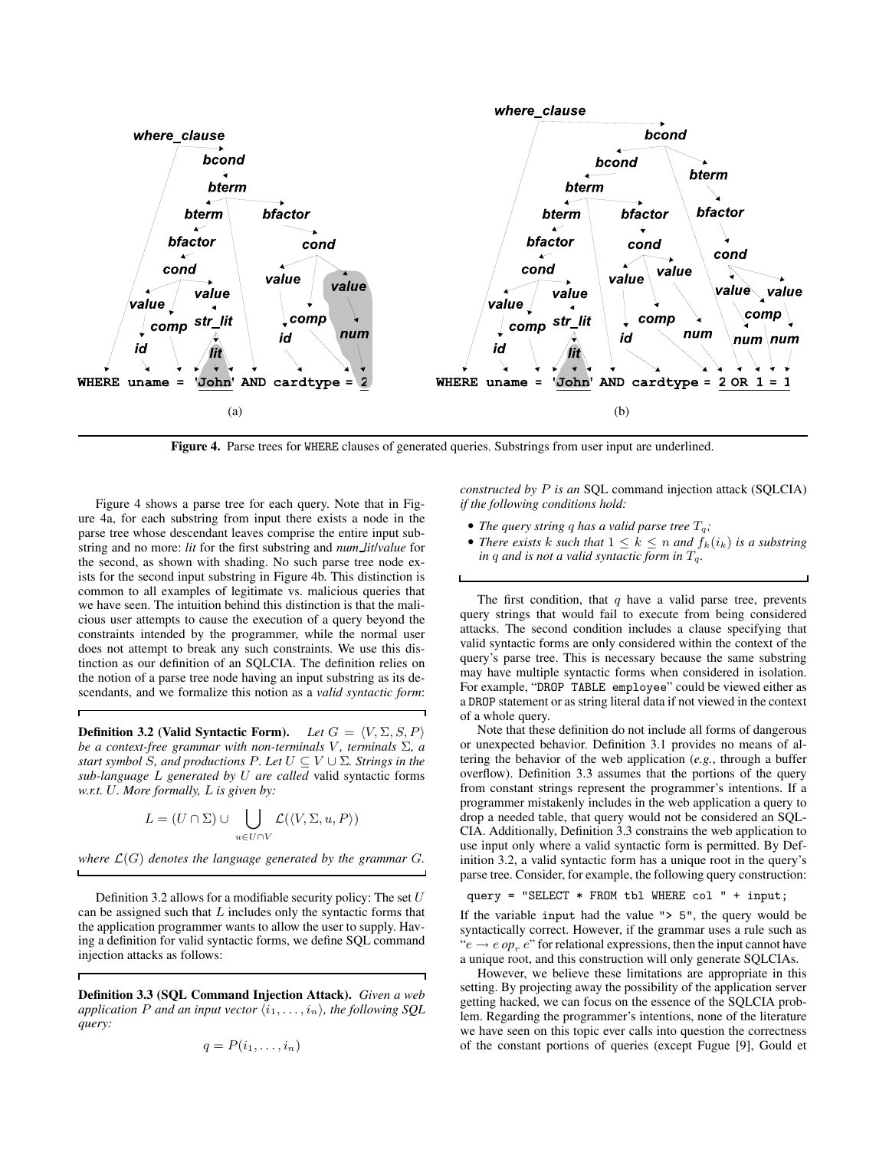

**Figure 4.** Parse trees for WHERE clauses of generated queries. Substrings from user input are underlined.

Figure 4 shows a parse tree for each query. Note that in Figure 4a, for each substring from input there exists a node in the parse tree whose descendant leaves comprise the entire input substring and no more: *lit* for the first substring and *num lit*/*value* for the second, as shown with shading. No such parse tree node exists for the second input substring in Figure 4b. This distinction is common to all examples of legitimate vs. malicious queries that we have seen. The intuition behind this distinction is that the malicious user attempts to cause the execution of a query beyond the constraints intended by the programmer, while the normal user does not attempt to break any such constraints. We use this distinction as our definition of an SQLCIA. The definition relies on the notion of a parse tree node having an input substring as its descendants, and we formalize this notion as a *valid syntactic form*:

**Definition 3.2 (Valid Syntactic Form).** *Let*  $G = \langle V, \Sigma, S, P \rangle$ *be a context-free grammar with non-terminals*  $V$ *, terminals*  $\Sigma$ *, a start symbol S, and productions P. Let*  $U \subseteq V \cup \Sigma$ *. Strings in the sub-language* L *generated by* U *are called* valid syntactic forms *w.r.t.* U*. More formally,* L *is given by:*

$$
L = (U \cap \Sigma) \cup \bigcup_{u \in U \cap V} \mathcal{L}(\langle V, \Sigma, u, P \rangle)
$$

*where*  $\mathcal{L}(G)$  *denotes the language generated by the grammar G.* 

Definition 3.2 allows for a modifiable security policy: The set  $U$ can be assigned such that  $L$  includes only the syntactic forms that the application programmer wants to allow the user to supply. Having a definition for valid syntactic forms, we define SQL command injection attacks as follows:

**Definition 3.3 (SQL Command Injection Attack).** *Given a web application* P *and an input vector*  $\langle i_1, \ldots, i_n \rangle$ *, the following SQL query:*

$$
q = P(i_1, \ldots, i_n)
$$

*constructed by* P *is an* SQL command injection attack (SQLCIA) *if the following conditions hold:*

- *The query string q has a valid parse tree*  $T_q$ ;
- *There exists*  $k$  *such that*  $1 \leq k \leq n$  *and*  $f_k(i_k)$  *is a substring in*  $q$  *and is not a valid syntactic form in*  $T_q$ *.*

The first condition, that  $q$  have a valid parse tree, prevents query strings that would fail to execute from being considered attacks. The second condition includes a clause specifying that valid syntactic forms are only considered within the context of the query's parse tree. This is necessary because the same substring may have multiple syntactic forms when considered in isolation. For example, "DROP TABLE employee" could be viewed either as a DROP statement or as string literal data if not viewed in the context of a whole query.

Note that these definition do not include all forms of dangerous or unexpected behavior. Definition 3.1 provides no means of altering the behavior of the web application (*e.g.*, through a buffer overflow). Definition 3.3 assumes that the portions of the query from constant strings represent the programmer's intentions. If a programmer mistakenly includes in the web application a query to drop a needed table, that query would not be considered an SQL-CIA. Additionally, Definition 3.3 constrains the web application to use input only where a valid syntactic form is permitted. By Definition 3.2, a valid syntactic form has a unique root in the query's parse tree. Consider, for example, the following query construction:

$$
query = "SELECT * FROM tb1 WHERE col " + input;
$$

If the variable input had the value "> 5", the query would be syntactically correct. However, if the grammar uses a rule such as " $e \rightarrow e \, op_r e$ " for relational expressions, then the input cannot have a unique root, and this construction will only generate SQLCIAs.

However, we believe these limitations are appropriate in this setting. By projecting away the possibility of the application server getting hacked, we can focus on the essence of the SQLCIA problem. Regarding the programmer's intentions, none of the literature we have seen on this topic ever calls into question the correctness of the constant portions of queries (except Fugue [9], Gould et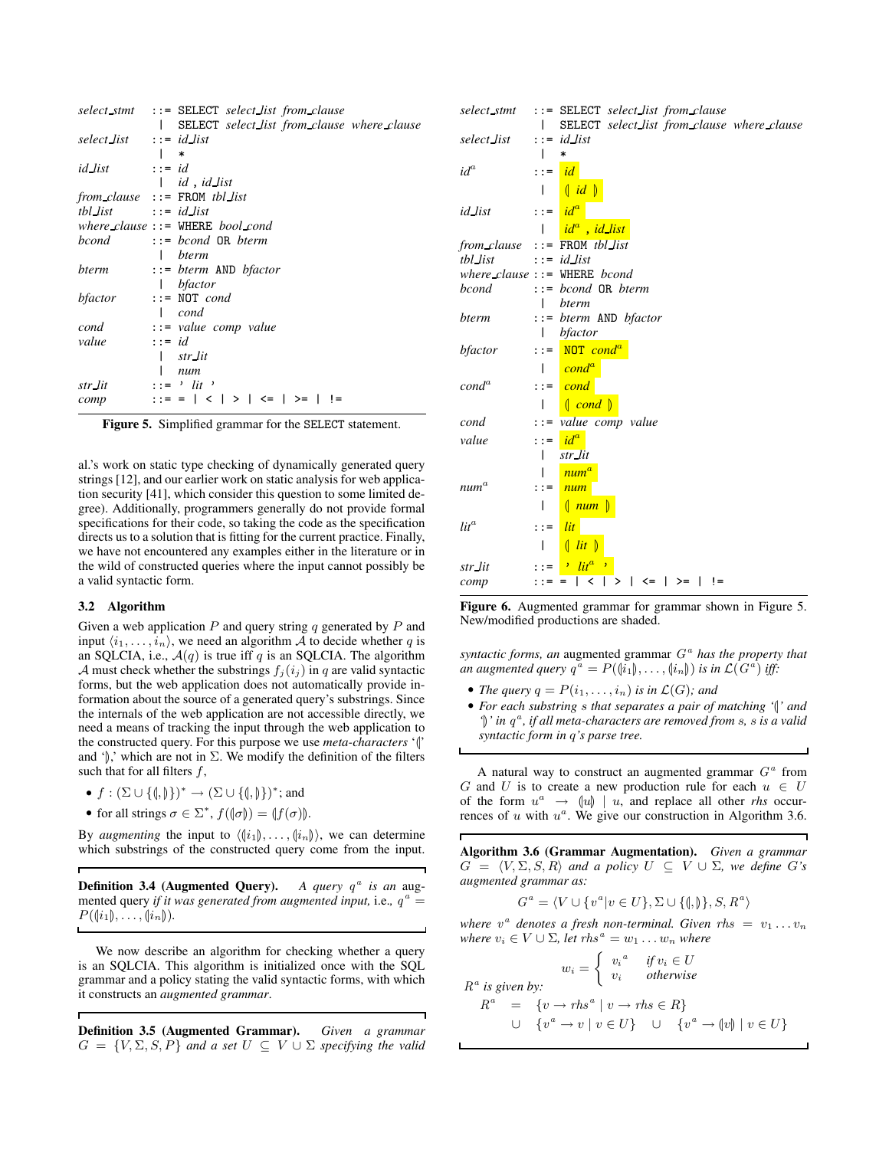|                                  |               | select_stmt ::= SELECT select_list from_clause     |
|----------------------------------|---------------|----------------------------------------------------|
|                                  |               | <b>SELECT</b> select list from clause where clause |
| select_list                      |               | $\vdots$ = id_list                                 |
|                                  |               | $\ast$                                             |
| id list                          | $::=id$       |                                                    |
|                                  |               | $\parallel$ id, id_list                            |
| $from\_clause$ ::= FROM tbl_list |               |                                                    |
| tbl_list                         |               | $\therefore$ = id_list                             |
|                                  |               | where clause $\cdot$ : = WHERE bool cond           |
| bcond                            |               | $\cdot$ : = bcond OR bterm                         |
|                                  |               | bterm                                              |
| bterm                            |               | $\cdot$ : = bterm AND bfactor                      |
|                                  |               | bfactor                                            |
| bfactor                          |               | $ ::= NOT\; cond$                                  |
|                                  |               | cond                                               |
| cond                             |               | $\cdot$ : = value comp value                       |
| value                            | $\cdots = id$ |                                                    |
|                                  |               | str_lit                                            |
|                                  |               | num                                                |
| str_lit                          |               | $\cdot$ : = $\cdot$ lit $\cdot$                    |
| comp                             |               | ::= = │ く │ > │ <= │ >= │<br>$\mathbf{I} =$        |

**Figure 5.** Simplified grammar for the SELECT statement.

al.'s work on static type checking of dynamically generated query strings [12], and our earlier work on static analysis for web application security [41], which consider this question to some limited degree). Additionally, programmers generally do not provide formal specifications for their code, so taking the code as the specification directs us to a solution that is fitting for the current practice. Finally, we have not encountered any examples either in the literature or in the wild of constructed queries where the input cannot possibly be a valid syntactic form.

#### **3.2 Algorithm**

Given a web application  $P$  and query string  $q$  generated by  $P$  and input  $\langle i_1, \ldots, i_n \rangle$ , we need an algorithm  $\tilde{A}$  to decide whether q is an SQLCIA, i.e.,  $A(q)$  is true iff q is an SQLCIA. The algorithm A must check whether the substrings  $f_i(i_j)$  in q are valid syntactic forms, but the web application does not automatically provide information about the source of a generated query's substrings. Since the internals of the web application are not accessible directly, we need a means of tracking the input through the web application to the constructed query. For this purpose we use *meta-characters* '()<sup>\*</sup> and ' $\parallel$ ,' which are not in  $\Sigma$ . We modify the definition of the filters such that for all filters  $f$ ,

- $f : (\Sigma \cup \{\langle , \rangle\})^* \to (\Sigma \cup \{\langle , \rangle\})^*$ ; and
- for all strings  $\sigma \in \Sigma^*$ ,  $f(\llbracket \sigma \rrbracket) = \llbracket f(\sigma) \rrbracket$ .

By *augmenting* the input to  $\langle \langle i_1 \rangle, \ldots, \langle i_n \rangle \rangle$ , we can determine which substrings of the constructed query come from the input.

**Definition** 3.4 (Augmented Query). A *query*  $q^a$  *is an* augmented query *if it was generated from augmented input, i.e.,*  $q^a$  =  $P(\llbracket i_1\rrbracket, \ldots, \llbracket i_n\rrbracket).$ 

We now describe an algorithm for checking whether a query is an SQLCIA. This algorithm is initialized once with the SQL grammar and a policy stating the valid syntactic forms, with which it constructs an *augmented grammar*.

**Definition 3.5 (Augmented Grammar).** *Given a grammar*  $G = \{V, \Sigma, S, P\}$  *and a set*  $U \subseteq V \cup \Sigma$  *specifying the valid* 

| select_stmt       |           | ::= SELECT select_list from_clause<br>SELECT select_list from clause where_clause |
|-------------------|-----------|-----------------------------------------------------------------------------------|
| select_list       |           | $\cdots = id\_list$                                                               |
|                   |           | $\ast$                                                                            |
| $id^a$            | $t =$     | id                                                                                |
|                   |           | $\parallel$ id $\parallel$                                                        |
| id_list           | $: : =$   | $id^a$                                                                            |
|                   |           | $id^a$ , id list                                                                  |
| from_clause       |           | $\therefore$ = FROM tbl_list                                                      |
| tbl_list          |           | $\cdots = id\_list$                                                               |
|                   |           | where_clause $\cdot$ : = WHERE bcond                                              |
| bcond             |           | $\cdot$ : = bcond QR bterm                                                        |
|                   |           | bterm                                                                             |
| bterm             |           | $\cdots$ = bterm AND bfactor                                                      |
|                   |           | bfactor                                                                           |
| bfactor           |           | ::= <mark>NOT cond<sup>a</sup></mark>                                             |
|                   |           | cond <sup>a</sup>                                                                 |
| cond <sup>a</sup> |           | $\cdot$ : = $\cdot$ cond                                                          |
|                   |           | $\vert$ cond $\vert$                                                              |
| cond              |           | $\cdots$ value comp value                                                         |
| value             | $: : =$   | $id^a$                                                                            |
|                   | I         | str_lit                                                                           |
|                   |           | $num^a$                                                                           |
| $num^a$           | $: :=$    | num                                                                               |
|                   |           |                                                                                   |
|                   |           | $\binom{}{}$ num $\binom{}{}$                                                     |
| $lit^a$           | $: : =$   | lit                                                                               |
|                   | I         | $\parallel$ <i>lit</i> $\parallel$                                                |
| str lit           |           | $lit^a$                                                                           |
| comp              | $: z = -$ | L<br>$\vert \vert$ <<br>$>$   <=  <br>$>=$  <br>$!=$                              |

**Figure 6.** Augmented grammar for grammar shown in Figure 5. New/modified productions are shaded.

*syntactic forms, an* augmented grammar G a *has the property that* an augmented query  $q^a = P(\langle i_1 \rangle, \ldots, \langle i_n \rangle)$  is in  $\mathcal{L}(G^a)$  iff:

- *The query*  $q = P(i_1, \ldots, i_n)$  *is in*  $\mathcal{L}(G)$ *; and*
- *For each substring* s *that separates a pair of matching '*L*' and '*M*' in* q a *, if all meta-characters are removed from* s*,* s *is a valid syntactic form in* q*'s parse tree.*

A natural way to construct an augmented grammar  $G<sup>a</sup>$  from G and U is to create a new production rule for each  $u \in U$ of the form  $u^a \rightarrow |u| | u$ , and replace all other *rhs* occurrences of u with  $u^a$ . We give our construction in Algorithm 3.6.

**Algorithm 3.6 (Grammar Augmentation).** *Given a grammar*  $G = \langle V, \Sigma, S, R \rangle$  *and a policy*  $U \subseteq V \cup \Sigma$ *, we define* G's *augmented grammar as:*

$$
G^{a} = \langle V \cup \{v^{a} | v \in U\}, \Sigma \cup \{\langle , \rangle\}, S, R^{a} \rangle
$$

where  $v^a$  denotes a fresh non-terminal. Given  $rhs = v_1 \ldots v_n$ *where*  $v_i \in V \cup \Sigma$ , *let*  $rhs^a = w_1 \dots w_n$  *where* 

$$
w_i = \begin{cases} v_i^a & \text{if } v_i \in U \\ v_i & \text{otherwise} \end{cases}
$$
  

$$
R^a \text{ is given by:}
$$
  

$$
R^a = \{v \to rhs^a \mid v \to rhs \in R\}
$$
  

$$
\cup \{v^a \to v \mid v \in U\} \cup \{v^a \to (v) \mid v \in U\}
$$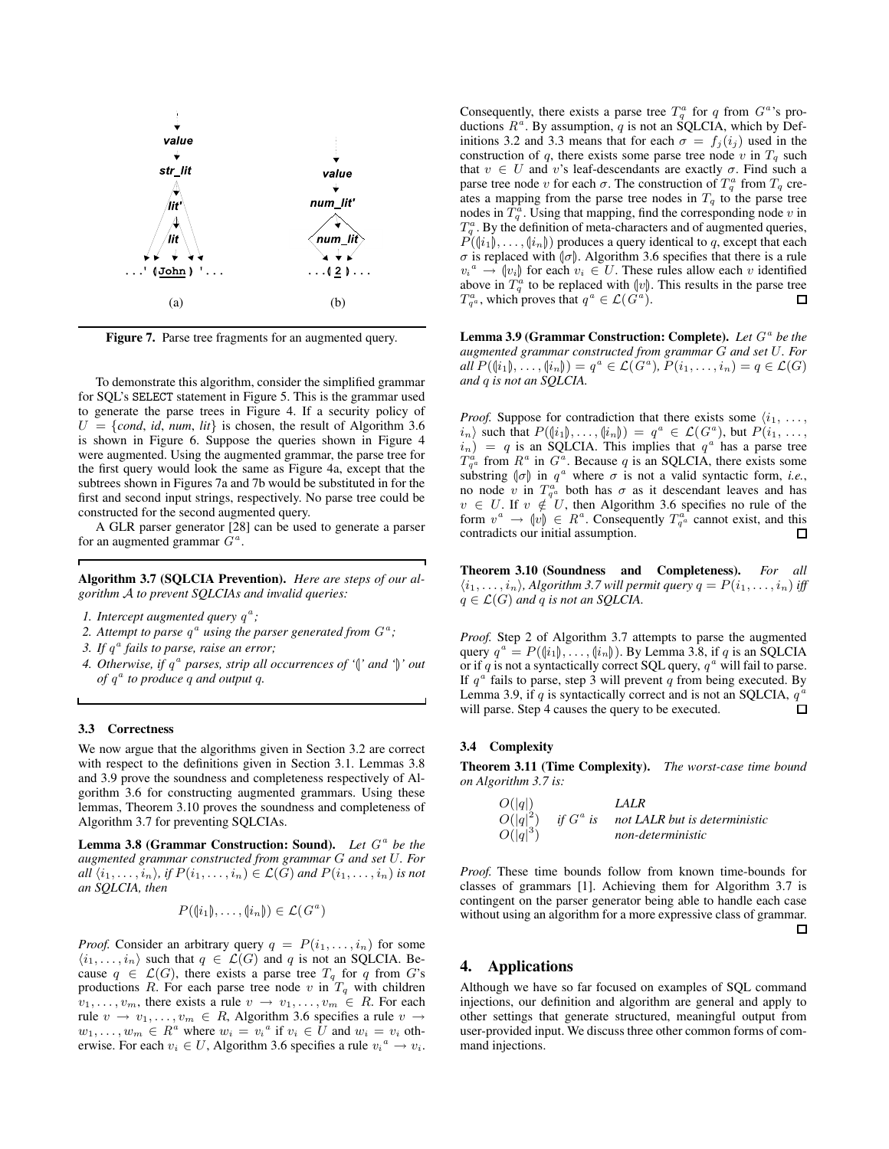

**Figure 7.** Parse tree fragments for an augmented query.

To demonstrate this algorithm, consider the simplified grammar for SQL's SELECT statement in Figure 5. This is the grammar used to generate the parse trees in Figure 4. If a security policy of  $U = \{cond, id, num, lit\}$  is chosen, the result of Algorithm 3.6 is shown in Figure 6. Suppose the queries shown in Figure 4 were augmented. Using the augmented grammar, the parse tree for the first query would look the same as Figure 4a, except that the subtrees shown in Figures 7a and 7b would be substituted in for the first and second input strings, respectively. No parse tree could be constructed for the second augmented query.

A GLR parser generator [28] can be used to generate a parser for an augmented grammar  $G^a$ .

**Algorithm 3.7 (SQLCIA Prevention).** *Here are steps of our algorithm* A *to prevent SQLCIAs and invalid queries:*

- *1. Intercept augmented query*  $q^a$ ;
- 2. Attempt to parse  $q^a$  using the parser generated from  $G^a$ ;
- *3. If* q a *fails to parse, raise an error;*
- *4. Otherwise, if*  $q^a$  *parses, strip all occurrences of* '(|' *and* ')' *out of* q a *to produce* q *and output* q*.*

#### **3.3 Correctness**

We now argue that the algorithms given in Section 3.2 are correct with respect to the definitions given in Section 3.1. Lemmas 3.8 and 3.9 prove the soundness and completeness respectively of Algorithm 3.6 for constructing augmented grammars. Using these lemmas, Theorem 3.10 proves the soundness and completeness of Algorithm 3.7 for preventing SQLCIAs.

**Lemma 3.8 (Grammar Construction: Sound).** *Let* G a *be the augmented grammar constructed from grammar* G *and set* U*. For all*  $\langle i_1, \ldots, i_n \rangle$ *, if*  $P(i_1, \ldots, i_n) \in \mathcal{L}(G)$  *and*  $P(i_1, \ldots, i_n)$  *is not an SQLCIA, then*

 $P(\langle i_1 | \rangle, \ldots, \langle i_n | \rangle) \in \mathcal{L}(G^a)$ 

*Proof.* Consider an arbitrary query  $q = P(i_1, \ldots, i_n)$  for some  $\langle i_1, \ldots, i_n \rangle$  such that  $q \in \mathcal{L}(G)$  and q is not an SQLCIA. Because  $q \in \mathcal{L}(G)$ , there exists a parse tree  $T_q$  for q from G's productions  $R$ . For each parse tree node  $v$  in  $T_q$  with children  $v_1, \ldots, v_m$ , there exists a rule  $v \to v_1, \ldots, v_m \in R$ . For each rule  $v \rightarrow v_1, \dots, v_m \in R$ , Algorithm 3.6 specifies a rule  $v \rightarrow$  $w_1, \ldots, w_m \in R^a$  where  $w_i = v_i^a$  if  $v_i \in U$  and  $w_i = v_i$  otherwise. For each  $v_i \in U$ , Algorithm 3.6 specifies a rule  $v_i^a \to v_i$ .

Consequently, there exists a parse tree  $T_q^a$  for q from  $G^a$ 's productions  $R^a$ . By assumption, q is not an SQLCIA, which by Definitions 3.2 and 3.3 means that for each  $\sigma = f_j(i_j)$  used in the construction of q, there exists some parse tree node v in  $T<sub>q</sub>$  such that  $v \in U$  and v's leaf-descendants are exactly  $\sigma$ . Find such a parse tree node v for each  $\sigma$ . The construction of  $T_q^a$  from  $T_q$  creates a mapping from the parse tree nodes in  $T_q$  to the parse tree nodes in  $\hat{T}_q^{\hat{a}}$ . Using that mapping, find the corresponding node v in  $T_q^a$ . By the definition of meta-characters and of augmented queries,  $P(\langle i_1\rangle, \ldots, \langle i_n\rangle)$  produces a query identical to q, except that each σ is replaced with  $\sigma$ ). Algorithm 3.6 specifies that there is a rule  $v_i^a \rightarrow (v_i)$  for each  $v_i \in U$ . These rules allow each v identified above in  $T_q^a$  to be replaced with  $\langle v \rangle$ . This results in the parse tree  $T_{q^a}^a$ , which proves that  $q^a \in \mathcal{L}(G^a)$ .  $\Box$ 

**Lemma 3.9 (Grammar Construction: Complete).** *Let* G a *be the augmented grammar constructed from grammar* G *and set* U*. For*  $all \ P(\langle i_1 \rangle, \ldots, \langle i_n \rangle) = q^a \in \mathcal{L}(G^a), \ P(i_1, \ldots, i_n) = q \in \mathcal{L}(G)$ *and* q *is not an SQLCIA.*

*Proof.* Suppose for contradiction that there exists some  $\langle i_1, \ldots, i_n \rangle$  $\langle i_n \rangle$  such that  $P(\langle i_1 \rangle, \ldots, \langle i_n \rangle) = q^a \in \mathcal{L}(G^a)$ , but  $P(i_1, \ldots, i_n)$  $i_n$ ) = q is an SQLCIA. This implies that  $q^a$  has a parse tree  $T_{q_a}^{\dot{a}}$  from  $R^a$  in  $G^{\dot{a}}$ . Because q is an SQLCIA, there exists some substring  $(\sigma)$  in  $q^a$  where  $\sigma$  is not a valid syntactic form, *i.e.*, no node v in  $T_{q^a}^a$  both has  $\sigma$  as it descendant leaves and has  $v \in U$ . If  $v \notin U$ , then Algorithm 3.6 specifies no rule of the form  $v^a \to \psi$   $\in$   $R^a$ . Consequently  $T_{q^a}^a$  cannot exist, and this contradicts our initial assumption.  $\Box$ 

**Theorem 3.10 (Soundness and Completeness).** *For all*  $\langle i_1, \ldots, i_n \rangle$ , Algorithm 3.7 will permit query  $q = P(i_1, \ldots, i_n)$  iff  $q \in \mathcal{L}(G)$  *and*  $q$  *is not an SQLCIA.* 

*Proof.* Step 2 of Algorithm 3.7 attempts to parse the augmented query  $q^a = P(\langle i_1 | \rangle, \ldots, \langle i_n | \rangle)$ . By Lemma 3.8, if q is an SQLCIA or if q is not a syntactically correct SQL query,  $q^a$  will fail to parse. If  $q^a$  fails to parse, step 3 will prevent q from being executed. By Lemma 3.9, if q is syntactically correct and is not an SQLCIA,  $q^a$  will parse. Step 4 causes the query to be executed. a will parse. Step 4 causes the query to be executed.

#### **3.4 Complexity**

**Theorem 3.11 (Time Complexity).** *The worst-case time bound on Algorithm 3.7 is:*

| O( q )     | LALR                                      |
|------------|-------------------------------------------|
| $O( q ^2)$ | if $G^a$ is not LALR but is deterministic |
| $O( q ^3)$ | non-deterministic                         |

*Proof.* These time bounds follow from known time-bounds for classes of grammars [1]. Achieving them for Algorithm 3.7 is contingent on the parser generator being able to handle each case without using an algorithm for a more expressive class of grammar.  $\Box$ 

## **4. Applications**

Although we have so far focused on examples of SQL command injections, our definition and algorithm are general and apply to other settings that generate structured, meaningful output from user-provided input. We discuss three other common forms of command injections.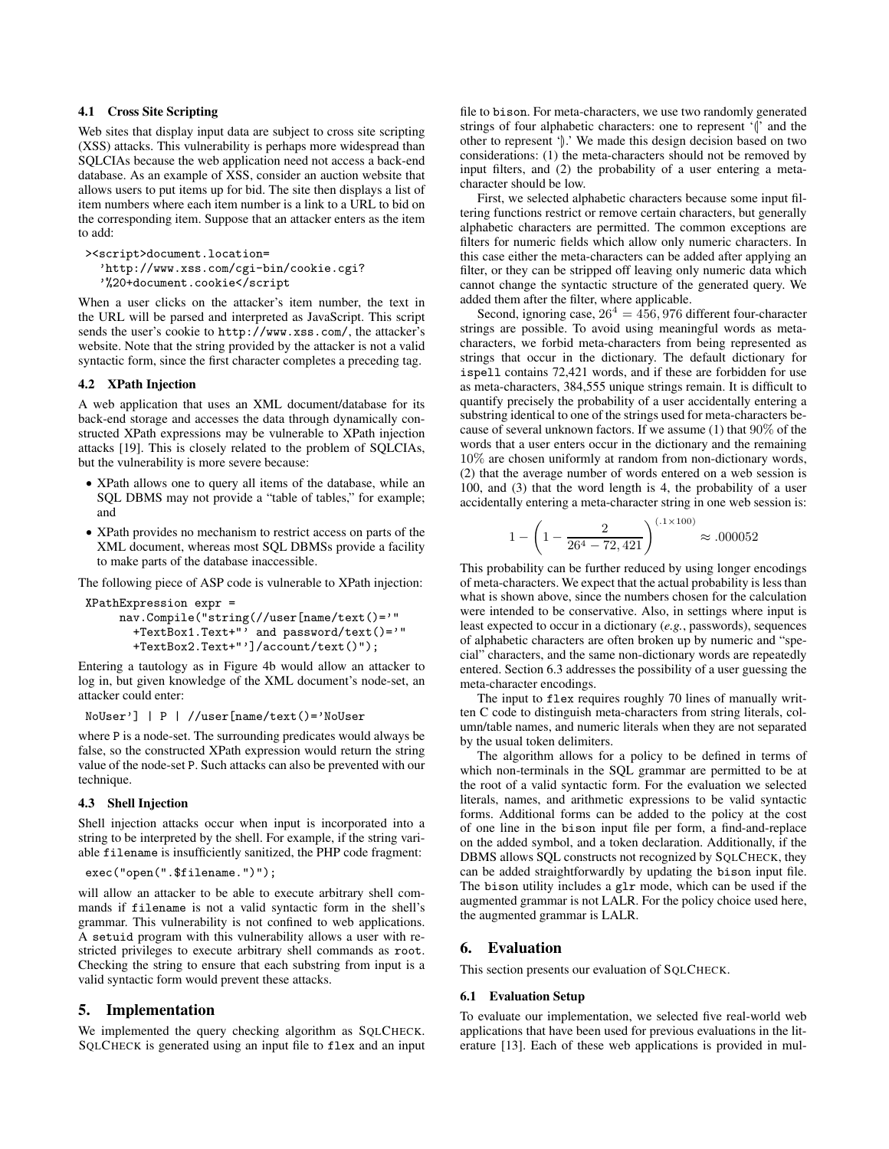### **4.1 Cross Site Scripting**

Web sites that display input data are subject to cross site scripting (XSS) attacks. This vulnerability is perhaps more widespread than SQLCIAs because the web application need not access a back-end database. As an example of XSS, consider an auction website that allows users to put items up for bid. The site then displays a list of item numbers where each item number is a link to a URL to bid on the corresponding item. Suppose that an attacker enters as the item to add:

```
><script>document.location=
  'http://www.xss.com/cgi-bin/cookie.cgi?
  '%20+document.cookie</script
```
When a user clicks on the attacker's item number, the text in the URL will be parsed and interpreted as JavaScript. This script sends the user's cookie to http://www.xss.com/, the attacker's website. Note that the string provided by the attacker is not a valid syntactic form, since the first character completes a preceding tag.

## **4.2 XPath Injection**

A web application that uses an XML document/database for its back-end storage and accesses the data through dynamically constructed XPath expressions may be vulnerable to XPath injection attacks [19]. This is closely related to the problem of SQLCIAs, but the vulnerability is more severe because:

- XPath allows one to query all items of the database, while an SQL DBMS may not provide a "table of tables," for example; and
- XPath provides no mechanism to restrict access on parts of the XML document, whereas most SQL DBMSs provide a facility to make parts of the database inaccessible.

The following piece of ASP code is vulnerable to XPath injection:

```
XPathExpression expr =
    nav.Compile("string(//user[name/text()='"
       +TextBox1.Text+"' and password/text()='"
      +TextBox2.Text+"']/account/text()");
```
Entering a tautology as in Figure 4b would allow an attacker to log in, but given knowledge of the XML document's node-set, an attacker could enter:

```
NoUser'] | P | //user[name/text()='NoUser
```
where P is a node-set. The surrounding predicates would always be false, so the constructed XPath expression would return the string value of the node-set P. Such attacks can also be prevented with our technique.

# **4.3 Shell Injection**

Shell injection attacks occur when input is incorporated into a string to be interpreted by the shell. For example, if the string variable filename is insufficiently sanitized, the PHP code fragment:

```
exec("open(".$filename.")");
```
will allow an attacker to be able to execute arbitrary shell commands if filename is not a valid syntactic form in the shell's grammar. This vulnerability is not confined to web applications. A setuid program with this vulnerability allows a user with restricted privileges to execute arbitrary shell commands as root. Checking the string to ensure that each substring from input is a valid syntactic form would prevent these attacks.

## **5. Implementation**

We implemented the query checking algorithm as SQLCHECK. SQLCHECK is generated using an input file to flex and an input file to bison. For meta-characters, we use two randomly generated strings of four alphabetic characters: one to represent  $\hat{C}$  and the other to represent ').' We made this design decision based on two considerations: (1) the meta-characters should not be removed by input filters, and (2) the probability of a user entering a metacharacter should be low.

First, we selected alphabetic characters because some input filtering functions restrict or remove certain characters, but generally alphabetic characters are permitted. The common exceptions are filters for numeric fields which allow only numeric characters. In this case either the meta-characters can be added after applying an filter, or they can be stripped off leaving only numeric data which cannot change the syntactic structure of the generated query. We added them after the filter, where applicable.

Second, ignoring case,  $26^4 = 456,976$  different four-character strings are possible. To avoid using meaningful words as metacharacters, we forbid meta-characters from being represented as strings that occur in the dictionary. The default dictionary for ispell contains 72,421 words, and if these are forbidden for use as meta-characters, 384,555 unique strings remain. It is difficult to quantify precisely the probability of a user accidentally entering a substring identical to one of the strings used for meta-characters because of several unknown factors. If we assume (1) that 90% of the words that a user enters occur in the dictionary and the remaining 10% are chosen uniformly at random from non-dictionary words, (2) that the average number of words entered on a web session is 100, and (3) that the word length is 4, the probability of a user accidentally entering a meta-character string in one web session is:

$$
1 - \left(1 - \frac{2}{26^4 - 72,421}\right)^{(.1 \times 100)} \approx .000052
$$

This probability can be further reduced by using longer encodings of meta-characters. We expect that the actual probability is lessthan what is shown above, since the numbers chosen for the calculation were intended to be conservative. Also, in settings where input is least expected to occur in a dictionary (*e.g.*, passwords), sequences of alphabetic characters are often broken up by numeric and "special" characters, and the same non-dictionary words are repeatedly entered. Section 6.3 addresses the possibility of a user guessing the meta-character encodings.

The input to flex requires roughly 70 lines of manually written C code to distinguish meta-characters from string literals, column/table names, and numeric literals when they are not separated by the usual token delimiters.

The algorithm allows for a policy to be defined in terms of which non-terminals in the SQL grammar are permitted to be at the root of a valid syntactic form. For the evaluation we selected literals, names, and arithmetic expressions to be valid syntactic forms. Additional forms can be added to the policy at the cost of one line in the bison input file per form, a find-and-replace on the added symbol, and a token declaration. Additionally, if the DBMS allows SQL constructs not recognized by SQLCHECK, they can be added straightforwardly by updating the bison input file. The bison utility includes a glr mode, which can be used if the augmented grammar is not LALR. For the policy choice used here, the augmented grammar is LALR.

## **6. Evaluation**

This section presents our evaluation of SQLCHECK.

### **6.1 Evaluation Setup**

To evaluate our implementation, we selected five real-world web applications that have been used for previous evaluations in the literature [13]. Each of these web applications is provided in mul-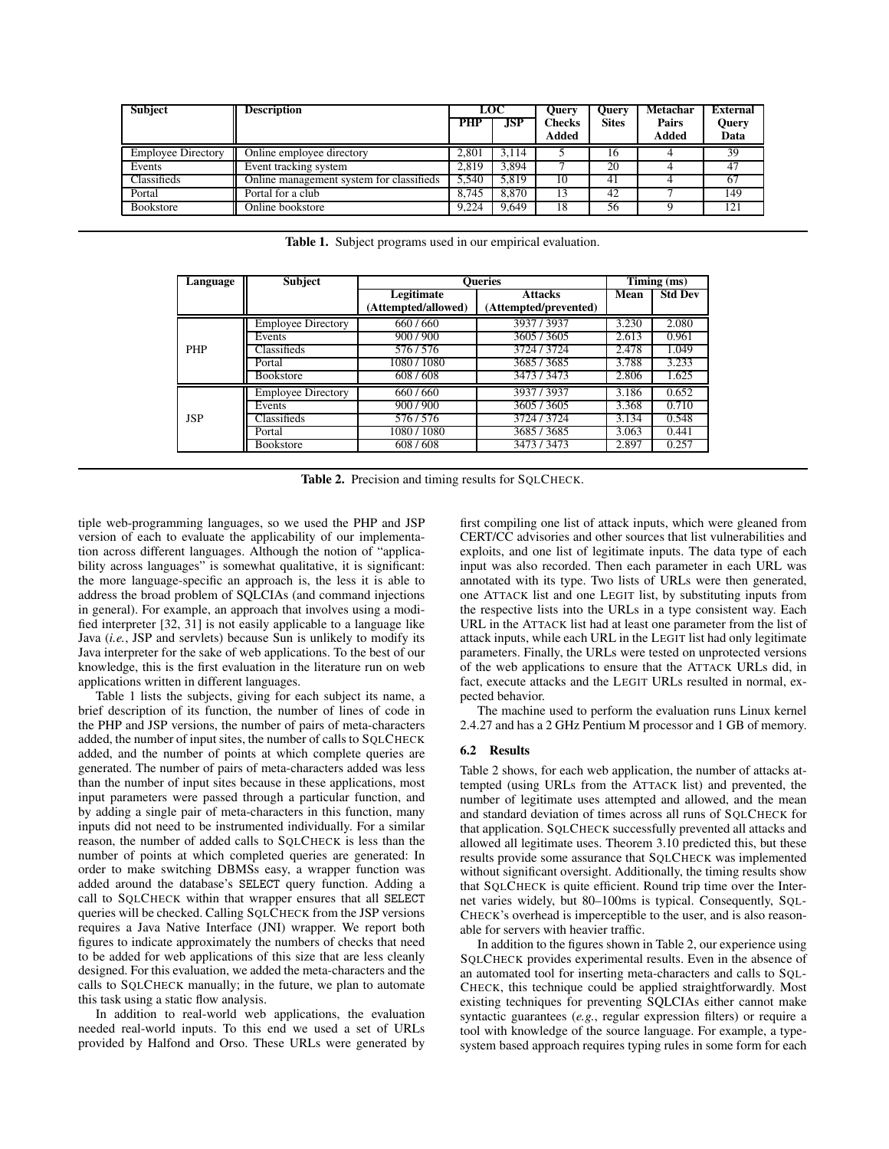| <b>Subject</b>            | <b>Description</b>                       |       | LOC        |                        | Ouerv        | Metachar       | <b>External</b> |
|---------------------------|------------------------------------------|-------|------------|------------------------|--------------|----------------|-----------------|
|                           |                                          | PHP   | <b>JSP</b> | <b>Checks</b><br>Added | <b>Sites</b> | Pairs<br>Added | Query<br>Data   |
| <b>Employee Directory</b> | Online employee directory                | 2.801 | 3.114      |                        | 16           |                | 39              |
| Events                    | Event tracking system                    | 2.819 | 3.894      |                        | 20           |                | 47              |
| Classifieds               | Online management system for classifieds | 5.540 | 5.819      | 10                     | 4 I          |                | 67              |
| Portal                    | Portal for a club                        | 8.745 | 8.870      |                        | 42           |                | 149             |
| <b>Bookstore</b>          | Online bookstore                         | 9.224 | 9.649      | 18                     | 56           |                | 121             |

|  |  |  |  |  |  | Table 1. Subject programs used in our empirical evaluation. |
|--|--|--|--|--|--|-------------------------------------------------------------|
|--|--|--|--|--|--|-------------------------------------------------------------|

| Language   | <b>Subject</b>            |                                   | <b>Oueries</b>                          |       |                |  |
|------------|---------------------------|-----------------------------------|-----------------------------------------|-------|----------------|--|
|            |                           | Legitimate<br>(Attempted/allowed) | <b>Attacks</b><br>(Attempted/prevented) | Mean  | <b>Std Dev</b> |  |
|            |                           |                                   |                                         |       |                |  |
|            | <b>Employee Directory</b> | 660/660                           | 3937 / 3937                             | 3.230 | 2.080          |  |
|            | Events                    | 900/900                           | 3605/3605                               | 2.613 | 0.961          |  |
| <b>PHP</b> | Classifieds               | 576/576                           | 3724 / 3724                             | 2.478 | 1.049          |  |
|            | Portal                    | 1080 / 1080                       | 3685 / 3685                             | 3.788 | 3.233          |  |
|            | <b>Bookstore</b>          | 608/608                           | 3473 / 3473                             | 2.806 | 1.625          |  |
|            | <b>Employee Directory</b> | 660/660                           | 3937 / 3937                             | 3.186 | 0.652          |  |
|            | Events                    | 900/900                           | 3605/3605                               | 3.368 | 0.710          |  |
| <b>JSP</b> | Classifieds               | 576/576                           | 3724 / 3724                             | 3.134 | 0.548          |  |
|            | Portal                    | 1080 / 1080                       | 3685/3685                               | 3.063 | 0.441          |  |
|            | <b>Bookstore</b>          | 608/608                           | 3473 / 3473                             | 2.897 | 0.257          |  |

**Table 2.** Precision and timing results for SQLCHECK.

tiple web-programming languages, so we used the PHP and JSP version of each to evaluate the applicability of our implementation across different languages. Although the notion of "applicability across languages" is somewhat qualitative, it is significant: the more language-specific an approach is, the less it is able to address the broad problem of SQLCIAs (and command injections in general). For example, an approach that involves using a modified interpreter [32, 31] is not easily applicable to a language like Java (*i.e.*, JSP and servlets) because Sun is unlikely to modify its Java interpreter for the sake of web applications. To the best of our knowledge, this is the first evaluation in the literature run on web applications written in different languages.

Table 1 lists the subjects, giving for each subject its name, a brief description of its function, the number of lines of code in the PHP and JSP versions, the number of pairs of meta-characters added, the number of input sites, the number of calls to SQLCHECK added, and the number of points at which complete queries are generated. The number of pairs of meta-characters added was less than the number of input sites because in these applications, most input parameters were passed through a particular function, and by adding a single pair of meta-characters in this function, many inputs did not need to be instrumented individually. For a similar reason, the number of added calls to SQLCHECK is less than the number of points at which completed queries are generated: In order to make switching DBMSs easy, a wrapper function was added around the database's SELECT query function. Adding a call to SQLCHECK within that wrapper ensures that all SELECT queries will be checked. Calling SQLCHECK from the JSP versions requires a Java Native Interface (JNI) wrapper. We report both figures to indicate approximately the numbers of checks that need to be added for web applications of this size that are less cleanly designed. For this evaluation, we added the meta-characters and the calls to SQLCHECK manually; in the future, we plan to automate this task using a static flow analysis.

In addition to real-world web applications, the evaluation needed real-world inputs. To this end we used a set of URLs provided by Halfond and Orso. These URLs were generated by

first compiling one list of attack inputs, which were gleaned from CERT/CC advisories and other sources that list vulnerabilities and exploits, and one list of legitimate inputs. The data type of each input was also recorded. Then each parameter in each URL was annotated with its type. Two lists of URLs were then generated, one ATTACK list and one LEGIT list, by substituting inputs from the respective lists into the URLs in a type consistent way. Each URL in the ATTACK list had at least one parameter from the list of attack inputs, while each URL in the LEGIT list had only legitimate parameters. Finally, the URLs were tested on unprotected versions of the web applications to ensure that the ATTACK URLs did, in fact, execute attacks and the LEGIT URLs resulted in normal, expected behavior.

The machine used to perform the evaluation runs Linux kernel 2.4.27 and has a 2 GHz Pentium M processor and 1 GB of memory.

#### **6.2 Results**

Table 2 shows, for each web application, the number of attacks attempted (using URLs from the ATTACK list) and prevented, the number of legitimate uses attempted and allowed, and the mean and standard deviation of times across all runs of SQLCHECK for that application. SQLCHECK successfully prevented all attacks and allowed all legitimate uses. Theorem 3.10 predicted this, but these results provide some assurance that SQLCHECK was implemented without significant oversight. Additionally, the timing results show that SQLCHECK is quite efficient. Round trip time over the Internet varies widely, but 80–100ms is typical. Consequently, SQL-CHECK's overhead is imperceptible to the user, and is also reasonable for servers with heavier traffic.

In addition to the figures shown in Table 2, our experience using SQLCHECK provides experimental results. Even in the absence of an automated tool for inserting meta-characters and calls to SQL-CHECK, this technique could be applied straightforwardly. Most existing techniques for preventing SQLCIAs either cannot make syntactic guarantees (*e.g.*, regular expression filters) or require a tool with knowledge of the source language. For example, a typesystem based approach requires typing rules in some form for each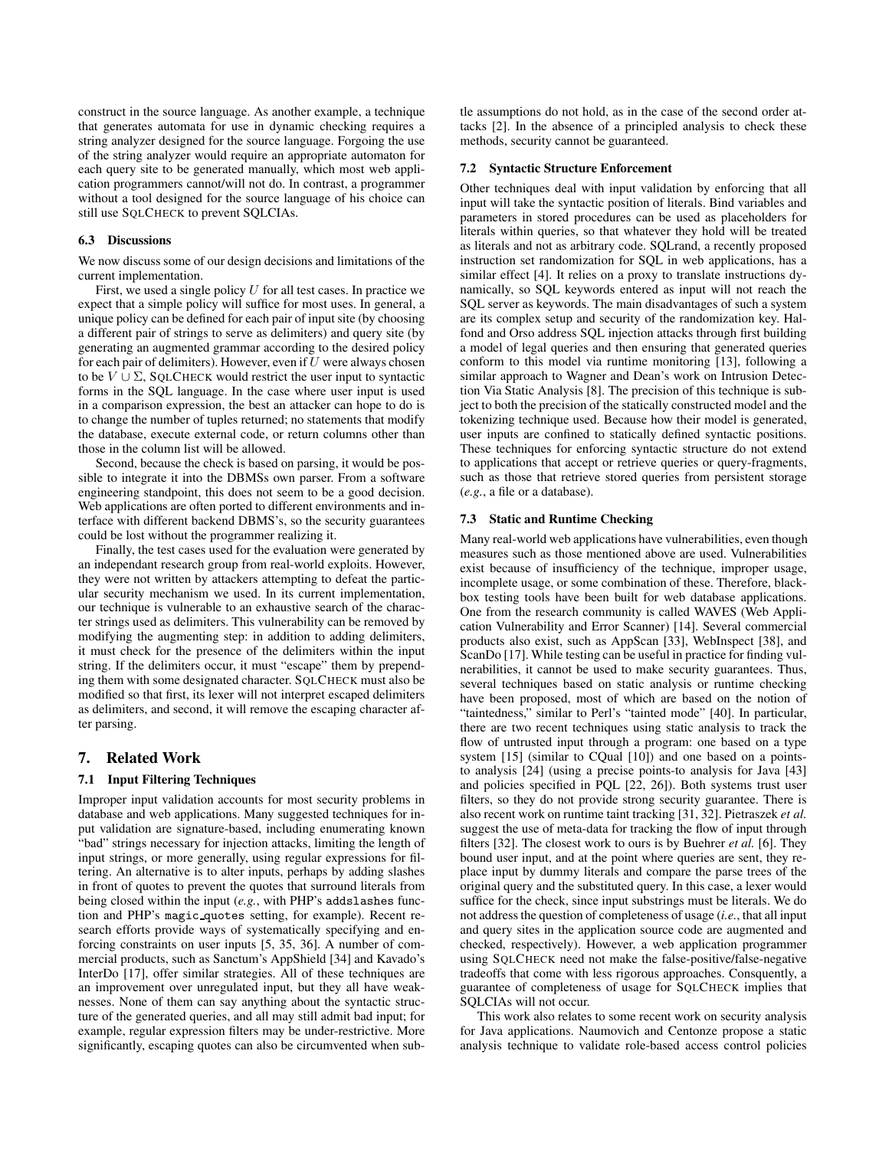construct in the source language. As another example, a technique that generates automata for use in dynamic checking requires a string analyzer designed for the source language. Forgoing the use of the string analyzer would require an appropriate automaton for each query site to be generated manually, which most web application programmers cannot/will not do. In contrast, a programmer without a tool designed for the source language of his choice can still use SQLCHECK to prevent SQLCIAs.

#### **6.3 Discussions**

We now discuss some of our design decisions and limitations of the current implementation.

First, we used a single policy  $U$  for all test cases. In practice we expect that a simple policy will suffice for most uses. In general, a unique policy can be defined for each pair of input site (by choosing a different pair of strings to serve as delimiters) and query site (by generating an augmented grammar according to the desired policy for each pair of delimiters). However, even if  $U$  were always chosen to be  $V \cup \Sigma$ , SQLCHECK would restrict the user input to syntactic forms in the SQL language. In the case where user input is used in a comparison expression, the best an attacker can hope to do is to change the number of tuples returned; no statements that modify the database, execute external code, or return columns other than those in the column list will be allowed.

Second, because the check is based on parsing, it would be possible to integrate it into the DBMSs own parser. From a software engineering standpoint, this does not seem to be a good decision. Web applications are often ported to different environments and interface with different backend DBMS's, so the security guarantees could be lost without the programmer realizing it.

Finally, the test cases used for the evaluation were generated by an independant research group from real-world exploits. However, they were not written by attackers attempting to defeat the particular security mechanism we used. In its current implementation, our technique is vulnerable to an exhaustive search of the character strings used as delimiters. This vulnerability can be removed by modifying the augmenting step: in addition to adding delimiters, it must check for the presence of the delimiters within the input string. If the delimiters occur, it must "escape" them by prepending them with some designated character. SQLCHECK must also be modified so that first, its lexer will not interpret escaped delimiters as delimiters, and second, it will remove the escaping character after parsing.

### **7. Related Work**

#### **7.1 Input Filtering Techniques**

Improper input validation accounts for most security problems in database and web applications. Many suggested techniques for input validation are signature-based, including enumerating known "bad" strings necessary for injection attacks, limiting the length of input strings, or more generally, using regular expressions for filtering. An alternative is to alter inputs, perhaps by adding slashes in front of quotes to prevent the quotes that surround literals from being closed within the input (*e.g.*, with PHP's addslashes function and PHP's magic quotes setting, for example). Recent research efforts provide ways of systematically specifying and enforcing constraints on user inputs [5, 35, 36]. A number of commercial products, such as Sanctum's AppShield [34] and Kavado's InterDo [17], offer similar strategies. All of these techniques are an improvement over unregulated input, but they all have weaknesses. None of them can say anything about the syntactic structure of the generated queries, and all may still admit bad input; for example, regular expression filters may be under-restrictive. More significantly, escaping quotes can also be circumvented when subtle assumptions do not hold, as in the case of the second order attacks [2]. In the absence of a principled analysis to check these methods, security cannot be guaranteed.

#### **7.2 Syntactic Structure Enforcement**

Other techniques deal with input validation by enforcing that all input will take the syntactic position of literals. Bind variables and parameters in stored procedures can be used as placeholders for literals within queries, so that whatever they hold will be treated as literals and not as arbitrary code. SQLrand, a recently proposed instruction set randomization for SQL in web applications, has a similar effect [4]. It relies on a proxy to translate instructions dynamically, so SQL keywords entered as input will not reach the SQL server as keywords. The main disadvantages of such a system are its complex setup and security of the randomization key. Halfond and Orso address SQL injection attacks through first building a model of legal queries and then ensuring that generated queries conform to this model via runtime monitoring [13], following a similar approach to Wagner and Dean's work on Intrusion Detection Via Static Analysis [8]. The precision of this technique is subject to both the precision of the statically constructed model and the tokenizing technique used. Because how their model is generated, user inputs are confined to statically defined syntactic positions. These techniques for enforcing syntactic structure do not extend to applications that accept or retrieve queries or query-fragments, such as those that retrieve stored queries from persistent storage (*e.g.*, a file or a database).

#### **7.3 Static and Runtime Checking**

Many real-world web applications have vulnerabilities, even though measures such as those mentioned above are used. Vulnerabilities exist because of insufficiency of the technique, improper usage, incomplete usage, or some combination of these. Therefore, blackbox testing tools have been built for web database applications. One from the research community is called WAVES (Web Application Vulnerability and Error Scanner) [14]. Several commercial products also exist, such as AppScan [33], WebInspect [38], and ScanDo [17]. While testing can be useful in practice for finding vulnerabilities, it cannot be used to make security guarantees. Thus, several techniques based on static analysis or runtime checking have been proposed, most of which are based on the notion of "taintedness," similar to Perl's "tainted mode" [40]. In particular, there are two recent techniques using static analysis to track the flow of untrusted input through a program: one based on a type system [15] (similar to CQual [10]) and one based on a pointsto analysis [24] (using a precise points-to analysis for Java [43] and policies specified in PQL [22, 26]). Both systems trust user filters, so they do not provide strong security guarantee. There is also recent work on runtime taint tracking [31, 32]. Pietraszek *et al.* suggest the use of meta-data for tracking the flow of input through filters [32]. The closest work to ours is by Buehrer *et al.* [6]. They bound user input, and at the point where queries are sent, they replace input by dummy literals and compare the parse trees of the original query and the substituted query. In this case, a lexer would suffice for the check, since input substrings must be literals. We do not address the question of completeness of usage (*i.e.*, that all input and query sites in the application source code are augmented and checked, respectively). However, a web application programmer using SQLCHECK need not make the false-positive/false-negative tradeoffs that come with less rigorous approaches. Consquently, a guarantee of completeness of usage for SQLCHECK implies that SQLCIAs will not occur.

This work also relates to some recent work on security analysis for Java applications. Naumovich and Centonze propose a static analysis technique to validate role-based access control policies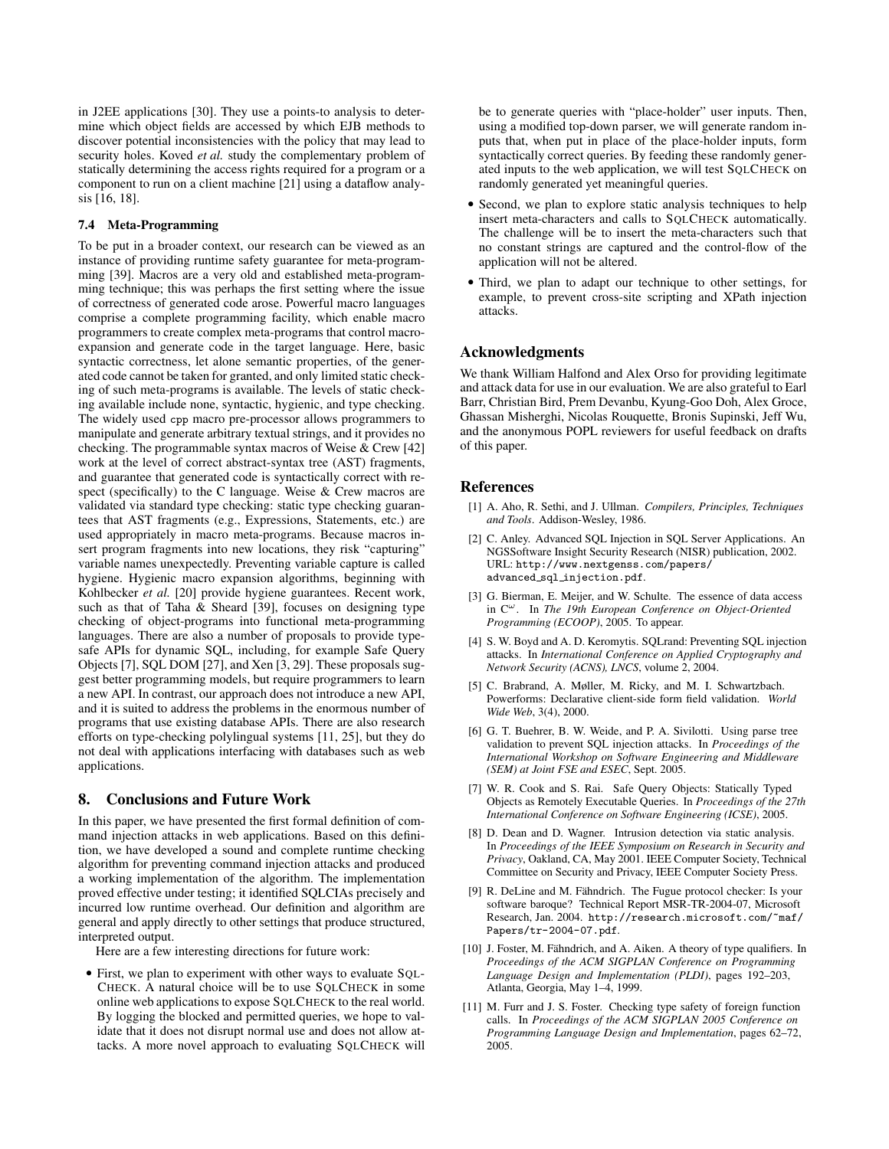in J2EE applications [30]. They use a points-to analysis to determine which object fields are accessed by which EJB methods to discover potential inconsistencies with the policy that may lead to security holes. Koved *et al.* study the complementary problem of statically determining the access rights required for a program or a component to run on a client machine [21] using a dataflow analysis [16, 18].

#### **7.4 Meta-Programming**

To be put in a broader context, our research can be viewed as an instance of providing runtime safety guarantee for meta-programming [39]. Macros are a very old and established meta-programming technique; this was perhaps the first setting where the issue of correctness of generated code arose. Powerful macro languages comprise a complete programming facility, which enable macro programmers to create complex meta-programs that control macroexpansion and generate code in the target language. Here, basic syntactic correctness, let alone semantic properties, of the generated code cannot be taken for granted, and only limited static checking of such meta-programs is available. The levels of static checking available include none, syntactic, hygienic, and type checking. The widely used cpp macro pre-processor allows programmers to manipulate and generate arbitrary textual strings, and it provides no checking. The programmable syntax macros of Weise & Crew [42] work at the level of correct abstract-syntax tree (AST) fragments, and guarantee that generated code is syntactically correct with respect (specifically) to the C language. Weise & Crew macros are validated via standard type checking: static type checking guarantees that AST fragments (e.g., Expressions, Statements, etc.) are used appropriately in macro meta-programs. Because macros insert program fragments into new locations, they risk "capturing" variable names unexpectedly. Preventing variable capture is called hygiene. Hygienic macro expansion algorithms, beginning with Kohlbecker *et al.* [20] provide hygiene guarantees. Recent work, such as that of Taha & Sheard [39], focuses on designing type checking of object-programs into functional meta-programming languages. There are also a number of proposals to provide typesafe APIs for dynamic SQL, including, for example Safe Query Objects [7], SQL DOM [27], and Xen [3, 29]. These proposals suggest better programming models, but require programmers to learn a new API. In contrast, our approach does not introduce a new API, and it is suited to address the problems in the enormous number of programs that use existing database APIs. There are also research efforts on type-checking polylingual systems [11, 25], but they do not deal with applications interfacing with databases such as web applications.

## **8. Conclusions and Future Work**

In this paper, we have presented the first formal definition of command injection attacks in web applications. Based on this definition, we have developed a sound and complete runtime checking algorithm for preventing command injection attacks and produced a working implementation of the algorithm. The implementation proved effective under testing; it identified SQLCIAs precisely and incurred low runtime overhead. Our definition and algorithm are general and apply directly to other settings that produce structured, interpreted output.

Here are a few interesting directions for future work:

• First, we plan to experiment with other ways to evaluate SQL-CHECK. A natural choice will be to use SQLCHECK in some online web applicationsto expose SQLCHECK to the real world. By logging the blocked and permitted queries, we hope to validate that it does not disrupt normal use and does not allow attacks. A more novel approach to evaluating SQLCHECK will be to generate queries with "place-holder" user inputs. Then, using a modified top-down parser, we will generate random inputs that, when put in place of the place-holder inputs, form syntactically correct queries. By feeding these randomly generated inputs to the web application, we will test SQLCHECK on randomly generated yet meaningful queries.

- Second, we plan to explore static analysis techniques to help insert meta-characters and calls to SQLCHECK automatically. The challenge will be to insert the meta-characters such that no constant strings are captured and the control-flow of the application will not be altered.
- Third, we plan to adapt our technique to other settings, for example, to prevent cross-site scripting and XPath injection attacks.

## **Acknowledgments**

We thank William Halfond and Alex Orso for providing legitimate and attack data for use in our evaluation. We are also grateful to Earl Barr, Christian Bird, Prem Devanbu, Kyung-Goo Doh, Alex Groce, Ghassan Misherghi, Nicolas Rouquette, Bronis Supinski, Jeff Wu, and the anonymous POPL reviewers for useful feedback on drafts of this paper.

# **References**

- [1] A. Aho, R. Sethi, and J. Ullman. *Compilers, Principles, Techniques and Tools*. Addison-Wesley, 1986.
- [2] C. Anley. Advanced SQL Injection in SQL Server Applications. An NGSSoftware Insight Security Research (NISR) publication, 2002. URL: http://www.nextgenss.com/papers/ advanced sql injection.pdf.
- [3] G. Bierman, E. Meijer, and W. Schulte. The essence of data access in C <sup>ω</sup>. In *The 19th European Conference on Object-Oriented Programming (ECOOP)*, 2005. To appear.
- [4] S. W. Boyd and A. D. Keromytis. SQLrand: Preventing SQL injection attacks. In *International Conference on Applied Cryptography and Network Security (ACNS), LNCS*, volume 2, 2004.
- [5] C. Brabrand, A. Møller, M. Ricky, and M. I. Schwartzbach. Powerforms: Declarative client-side form field validation. *World Wide Web*, 3(4), 2000.
- [6] G. T. Buehrer, B. W. Weide, and P. A. Sivilotti. Using parse tree validation to prevent SQL injection attacks. In *Proceedings of the International Workshop on Software Engineering and Middleware (SEM) at Joint FSE and ESEC*, Sept. 2005.
- [7] W. R. Cook and S. Rai. Safe Query Objects: Statically Typed Objects as Remotely Executable Queries. In *Proceedings of the 27th International Conference on Software Engineering (ICSE)*, 2005.
- [8] D. Dean and D. Wagner. Intrusion detection via static analysis. In *Proceedings of the IEEE Symposium on Research in Security and Privacy*, Oakland, CA, May 2001. IEEE Computer Society, Technical Committee on Security and Privacy, IEEE Computer Society Press.
- [9] R. DeLine and M. Fähndrich. The Fugue protocol checker: Is your software baroque? Technical Report MSR-TR-2004-07, Microsoft Research, Jan. 2004. http://research.microsoft.com/~maf/ Papers/tr-2004-07.pdf.
- [10] J. Foster, M. Fähndrich, and A. Aiken. A theory of type qualifiers. In *Proceedings of the ACM SIGPLAN Conference on Programming Language Design and Implementation (PLDI)*, pages 192–203, Atlanta, Georgia, May 1–4, 1999.
- [11] M. Furr and J. S. Foster. Checking type safety of foreign function calls. In *Proceedings of the ACM SIGPLAN 2005 Conference on Programming Language Design and Implementation*, pages 62–72, 2005.